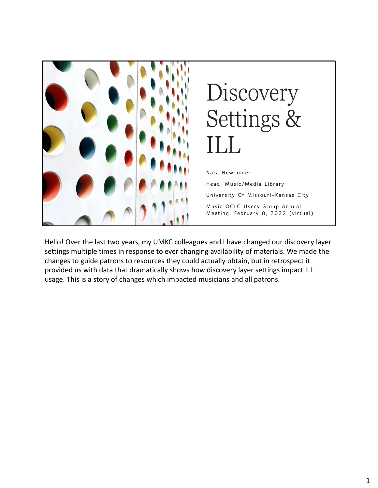

Hello! Over the last two years, my UMKC colleagues and I have changed our discovery layer settings multiple times in response to ever changing availability of materials. We made the changes to guide patrons to resources they could actually obtain, but in retrospect it provided us with data that dramatically shows how discovery layer settings impact ILL usage. This is a story of changes which impacted musicians and all patrons.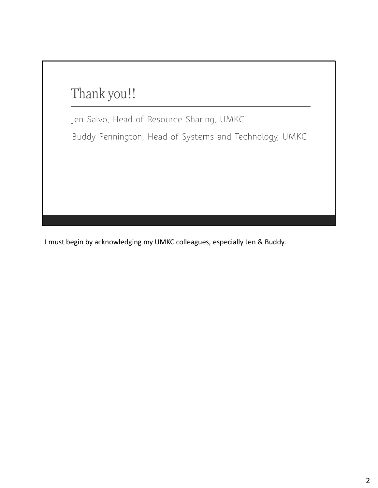## Thank you!!

Jen Salvo, Head of Resource Sharing, UMKC

Buddy Pennington, Head of Systems and Technology, UMKC

I must begin by acknowledging my UMKC colleagues, especially Jen & Buddy.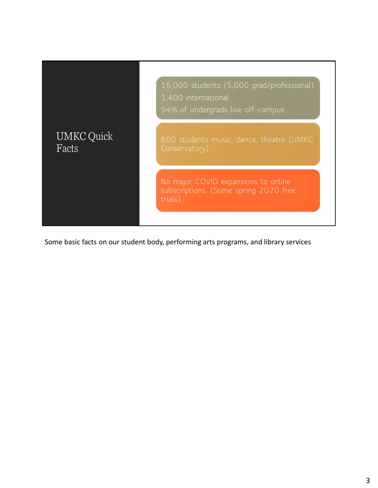

Some basic facts on our student body, performing arts programs, and library services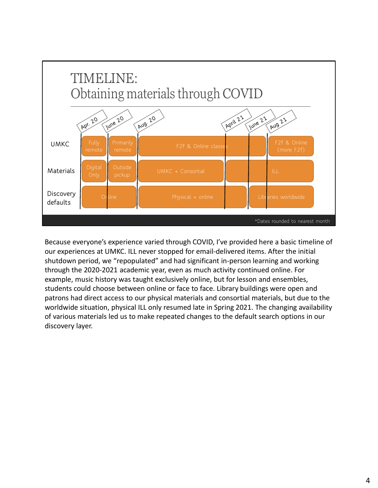

Because everyone's experience varied through COVID, I've provided here a basic timeline of our experiences at UMKC. ILL never stopped for email-delivered items. After the initial shutdown period, we "repopulated" and had significant in-person learning and working through the 2020-2021 academic year, even as much activity continued online. For example, music history was taught exclusively online, but for lesson and ensembles, worldwide situation, physical ILL only resumed late in Spring 2021. The changing availability of various materials led us to make repeated changes to the default search options in our discovery layer.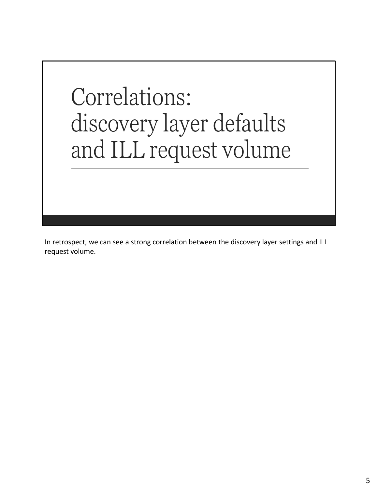## Correlations: discovery layer defaults and ILL request volume

In retrospect, we can see a strong correlation between the discovery layer settings and ILL request volume.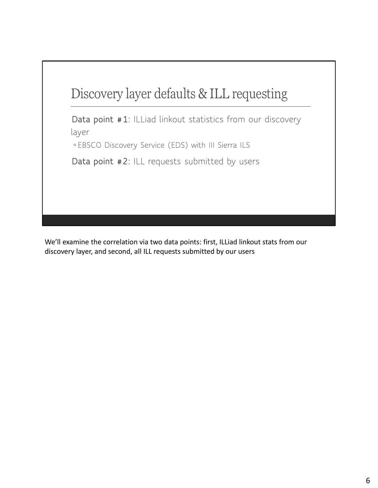

discovery layer, and second, all ILL requests submitted by our users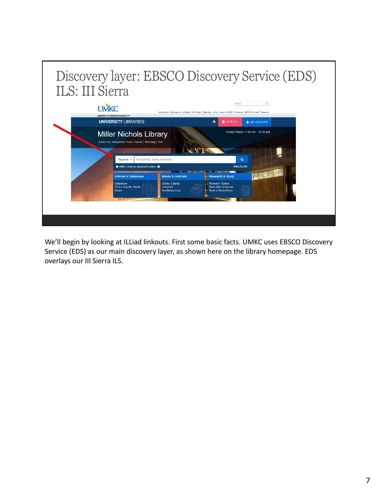

Service (EDS) as our main discovery layer, as shown here on the library homepage. EDS overlays our III Sierra ILS.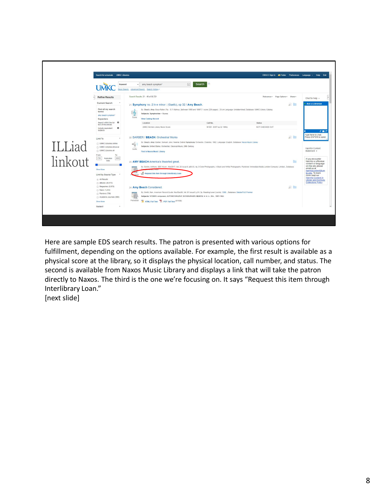

Here are sample EDS search results. The patron is presented with various options for fulfillment, depending on the options available. For example, the first result is available as a physical score at the library, so it displays the physical location, call number, and status. The second is available from Naxos Music Library and displays a link that will take the patron Interlibrary Loan."

[next slide]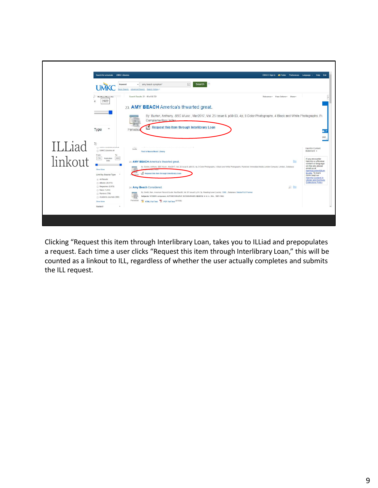

a request. Each time a user clicks "Request this item through Interlibrary Loan," this will be the ILL request.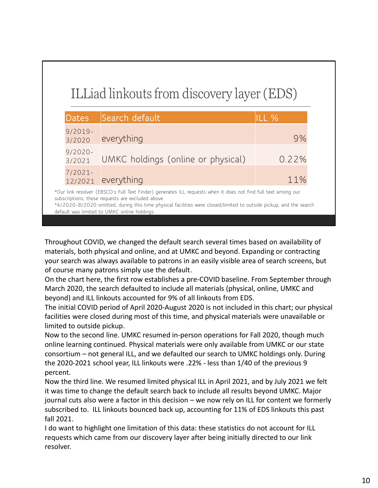

Throughout COVID, we changed the default search several times based on availability of materials, both physical and online, and at UMKC and beyond. Expanding or contracting your search was always available to patrons in an easily visible area of search screens, but of course many patrons simply use the default.

On the chart here, the first row establishes a pre-COVID baseline. From September through March 2020, the search defaulted to include all materials (physical, online, UMKC and

The initial COVID period of April 2020-August 2020 is not included in this chart; our physical facilities were closed during most of this time, and physical materials were unavailable or limited to outside pickup.

Now to the second line. UMKC resumed in-person operations for Fall 2020, though much online learning continued. Physical materials were only available from UMKC or our state size the motion of the protoconsortion of the protoconsortion of the protoconsortion of the search effective state in the protoconstrained to the protoconstrained to the motion of the motion of the motion of the motion of derialt was limited to UMKC online heldings.<br>Throughout COVID, we changed the default search several times based on availability of<br>materials, both physical and online, and at UMKC and beyond. Expanding or orotracting<br>your percent.

Now the third line. We resumed limited physical ILL in April 2021, and by July 2021 we felt it was time to change the default search back to include all results beyond UMKC. Major materials, both physical and online, and at UMKC and beyond. Expanding or contracting<br>your search was always available to patrons in an easily visible area of search screens, but<br>of course many patrons simply use the defau your search was always available to patrons in an easily visible area of search screens, but<br>of course many patrons simply use the default.<br>On the chart here, the first row establishes a pre-COVID baseline. From September fall 2021.

I do want to highlight one limitation of this data: these statistics do not account for ILL requests which came from our discovery layer after being initially directed to our link resolver.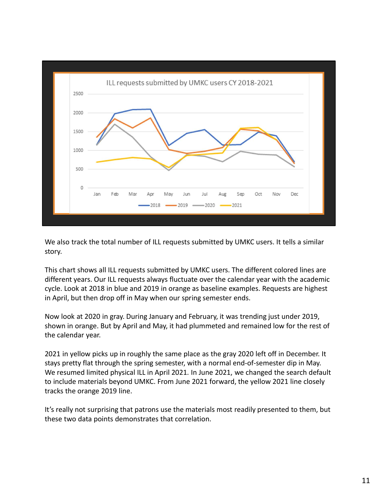

We also track the total number of ILL requests submitted by UMKC users. It tells a similar story.

This chart shows all ILL requests submitted by UMKC users. The different colored lines are different years. Our ILL requests always fluctuate over the calendar year with the academic cycle. Look at 2018 in blue and 2019 in orange as baseline examples. Requests are highest in April, but then drop off in May when our spring semester ends.

Now look at 2020 in gray. During January and February, it was trending just under 2019, shown in orange. But by April and May, it had plummeted and remained low for the rest of the calendar year.

2021 in yellow picks up in roughly the same place as the gray 2020 left off in December. It stays and the total number of ILL requests submitted by UMKC users. It tells a similar<br>story.<br>This chart shows all ILL requests submitted by UMKC users. The different colored lines are<br>different years. Our ILL requests alw We resumed limited physical ILL in April 2021. In June 2021, we changed the search default to include materials beyond UMKC. From June 2021 forward, the yellow 2021 line closely tracks the orange 2019 line. This chart shows all ILL requests submitted by UMKC users. The different colored lines are different years. Our ILL requests always fluctuate over the calendar year with the academic cycle. Look at 2018 in blue and 2019 in

these two data points demonstrates that correlation.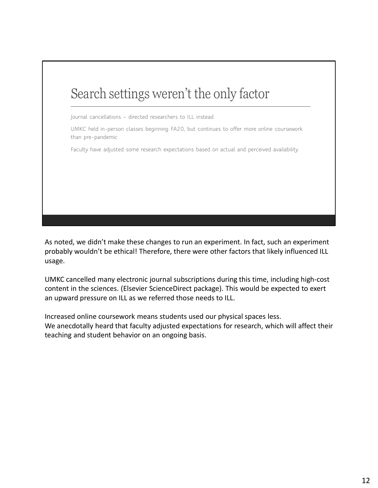## Search settings weren't the only factor Search settings weren't the only factor<br>Journal cancellations - directed researchers to ILL instead<br>UMKC held in-person classes beginning FA20, but continues to offer more online coursework<br>than pre-pandemic<br>Faculty have a UMKC held in-person classes beginning FA20, but continues to offer more online coursework than pre-pandemic Faculty have adjusted some research expectations based on actual and perceived availability.

As noted, we didn't make these changes to run an experiment. In fact, such an experiment probably wouldn't be ethical! Therefore, there were other factors that likely influenced ILL usage.

UMKC cancelled many electronic journal subscriptions during this time, including high-cost content in the sciences. (Elsevier ScienceDirect package). This would be expected to exert an upward pressure on ILL as we referred those needs to ILL.

Increased online coursework means students used our physical spaces less. We anecdotally heard that faculty adjusted expectations for research, which will affect their teaching and student behavior on an ongoing basis.